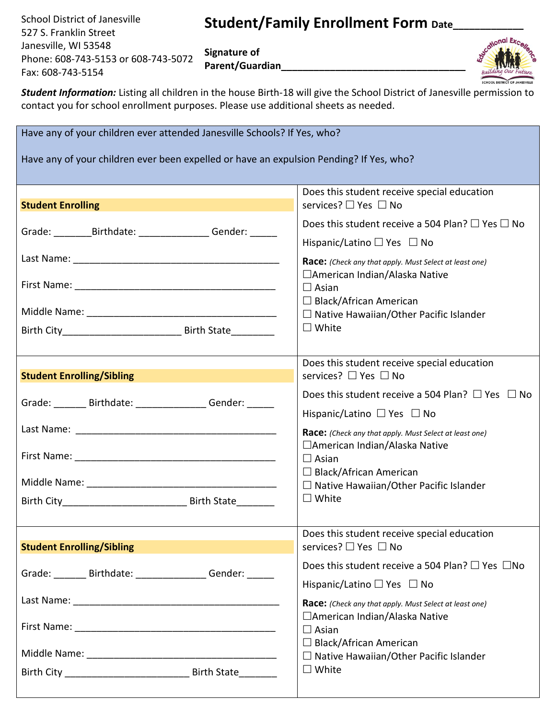School District of Janesville 527 S. Franklin Street Janesville, WI 53548 Phone: 608-743-5153 or 608-743-5072 Fax: 608-743-5154

## Student/Family Enrollment Form Date\_

**Signature of Parent/Guardian\_\_\_\_\_\_\_\_\_\_\_\_\_\_\_\_\_\_\_\_\_\_\_\_\_\_\_\_\_\_\_\_\_\_**



*Student Information:* Listing all children in the house Birth-18 will give the School District of Janesville permission to contact you for school enrollment purposes. Please use additional sheets as needed.

| Have any of your children ever attended Janesville Schools? If Yes, who?                |                                                                                                          |  |  |  |  |  |  |  |  |
|-----------------------------------------------------------------------------------------|----------------------------------------------------------------------------------------------------------|--|--|--|--|--|--|--|--|
| Have any of your children ever been expelled or have an expulsion Pending? If Yes, who? |                                                                                                          |  |  |  |  |  |  |  |  |
|                                                                                         |                                                                                                          |  |  |  |  |  |  |  |  |
|                                                                                         | Does this student receive special education                                                              |  |  |  |  |  |  |  |  |
| <b>Student Enrolling</b>                                                                | services? □ Yes □ No                                                                                     |  |  |  |  |  |  |  |  |
| Grade: _____________Birthdate: _______________________Gender: ________                  | Does this student receive a 504 Plan? $\Box$ Yes $\Box$ No                                               |  |  |  |  |  |  |  |  |
|                                                                                         | Hispanic/Latino $\Box$ Yes $\Box$ No                                                                     |  |  |  |  |  |  |  |  |
|                                                                                         | Race: (Check any that apply. Must Select at least one)                                                   |  |  |  |  |  |  |  |  |
|                                                                                         | □American Indian/Alaska Native<br>$\Box$ Asian                                                           |  |  |  |  |  |  |  |  |
|                                                                                         | $\Box$ Black/African American                                                                            |  |  |  |  |  |  |  |  |
|                                                                                         | $\Box$ Native Hawaiian/Other Pacific Islander                                                            |  |  |  |  |  |  |  |  |
|                                                                                         | $\Box$ White                                                                                             |  |  |  |  |  |  |  |  |
|                                                                                         |                                                                                                          |  |  |  |  |  |  |  |  |
|                                                                                         | Does this student receive special education                                                              |  |  |  |  |  |  |  |  |
| <b>Student Enrolling/Sibling</b>                                                        | services? □ Yes □ No                                                                                     |  |  |  |  |  |  |  |  |
| Grade: Birthdate: Gender: Capacase Communications                                       | Does this student receive a 504 Plan? $\Box$ Yes $\Box$ No                                               |  |  |  |  |  |  |  |  |
|                                                                                         | Hispanic/Latino $\Box$ Yes $\Box$ No                                                                     |  |  |  |  |  |  |  |  |
|                                                                                         | Race: (Check any that apply. Must Select at least one)<br>□American Indian/Alaska Native<br>$\Box$ Asian |  |  |  |  |  |  |  |  |
|                                                                                         |                                                                                                          |  |  |  |  |  |  |  |  |
|                                                                                         | $\Box$ Black/African American                                                                            |  |  |  |  |  |  |  |  |
|                                                                                         | $\Box$ Native Hawaiian/Other Pacific Islander<br>$\Box$ White                                            |  |  |  |  |  |  |  |  |
|                                                                                         |                                                                                                          |  |  |  |  |  |  |  |  |
|                                                                                         |                                                                                                          |  |  |  |  |  |  |  |  |
|                                                                                         | Does this student receive special education                                                              |  |  |  |  |  |  |  |  |
| <b>Student Enrolling/Sibling</b>                                                        | services? □ Yes □ No                                                                                     |  |  |  |  |  |  |  |  |
| Grade: _______ Birthdate: ________________ Gender: ______                               | Does this student receive a 504 Plan? □ Yes □No                                                          |  |  |  |  |  |  |  |  |
|                                                                                         | Hispanic/Latino □ Yes □ No                                                                               |  |  |  |  |  |  |  |  |
|                                                                                         | Race: (Check any that apply. Must Select at least one)                                                   |  |  |  |  |  |  |  |  |
|                                                                                         | □American Indian/Alaska Native<br>$\Box$ Asian                                                           |  |  |  |  |  |  |  |  |
|                                                                                         | $\Box$ Black/African American                                                                            |  |  |  |  |  |  |  |  |
|                                                                                         | $\Box$ Native Hawaiian/Other Pacific Islander                                                            |  |  |  |  |  |  |  |  |
|                                                                                         | $\Box$ White                                                                                             |  |  |  |  |  |  |  |  |
|                                                                                         |                                                                                                          |  |  |  |  |  |  |  |  |